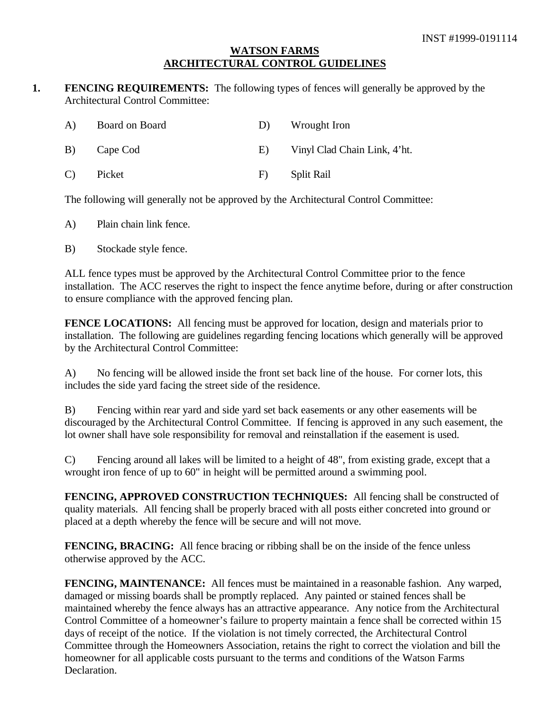#### **WATSON FARMS ARCHITECTURAL CONTROL GUIDELINES**

**1. FENCING REQUIREMENTS:** The following types of fences will generally be approved by the Architectural Control Committee:

| A) | Board on Board | D) | Wrought Iron                 |
|----|----------------|----|------------------------------|
| B) | Cape Cod       | E) | Vinyl Clad Chain Link, 4'ht. |
| C) | Picket         | F  | Split Rail                   |

The following will generally not be approved by the Architectural Control Committee:

- A) Plain chain link fence.
- B) Stockade style fence.

ALL fence types must be approved by the Architectural Control Committee prior to the fence installation. The ACC reserves the right to inspect the fence anytime before, during or after construction to ensure compliance with the approved fencing plan.

**FENCE LOCATIONS:** All fencing must be approved for location, design and materials prior to installation. The following are guidelines regarding fencing locations which generally will be approved by the Architectural Control Committee:

A) No fencing will be allowed inside the front set back line of the house. For corner lots, this includes the side yard facing the street side of the residence.

B) Fencing within rear yard and side yard set back easements or any other easements will be discouraged by the Architectural Control Committee. If fencing is approved in any such easement, the lot owner shall have sole responsibility for removal and reinstallation if the easement is used.

C) Fencing around all lakes will be limited to a height of 48", from existing grade, except that a wrought iron fence of up to 60" in height will be permitted around a swimming pool.

**FENCING, APPROVED CONSTRUCTION TECHNIQUES:** All fencing shall be constructed of quality materials. All fencing shall be properly braced with all posts either concreted into ground or placed at a depth whereby the fence will be secure and will not move.

**FENCING, BRACING:** All fence bracing or ribbing shall be on the inside of the fence unless otherwise approved by the ACC.

FENCING, MAINTENANCE: All fences must be maintained in a reasonable fashion. Any warped, damaged or missing boards shall be promptly replaced. Any painted or stained fences shall be maintained whereby the fence always has an attractive appearance. Any notice from the Architectural Control Committee of a homeowner's failure to property maintain a fence shall be corrected within 15 days of receipt of the notice. If the violation is not timely corrected, the Architectural Control Committee through the Homeowners Association, retains the right to correct the violation and bill the homeowner for all applicable costs pursuant to the terms and conditions of the Watson Farms Declaration.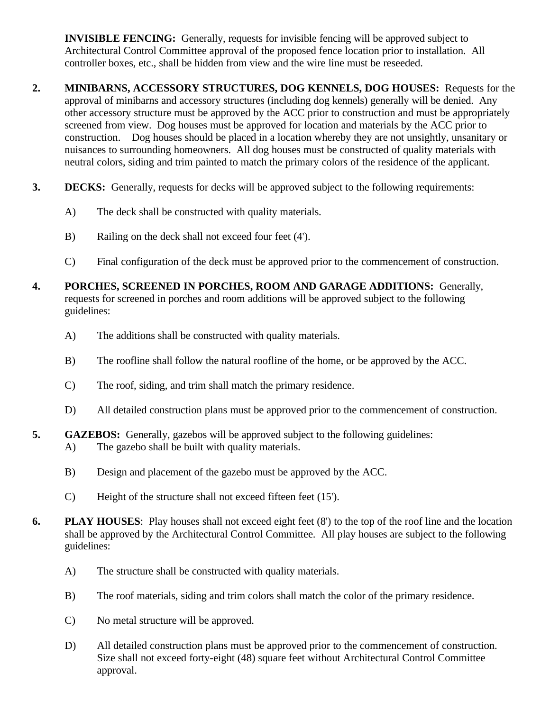**INVISIBLE FENCING:** Generally, requests for invisible fencing will be approved subject to Architectural Control Committee approval of the proposed fence location prior to installation. All controller boxes, etc., shall be hidden from view and the wire line must be reseeded.

- **2. MINIBARNS, ACCESSORY STRUCTURES, DOG KENNELS, DOG HOUSES:** Requests for the approval of minibarns and accessory structures (including dog kennels) generally will be denied. Any other accessory structure must be approved by the ACC prior to construction and must be appropriately screened from view. Dog houses must be approved for location and materials by the ACC prior to construction. Dog houses should be placed in a location whereby they are not unsightly, unsanitary or nuisances to surrounding homeowners. All dog houses must be constructed of quality materials with neutral colors, siding and trim painted to match the primary colors of the residence of the applicant.
- **3. DECKS:** Generally, requests for decks will be approved subject to the following requirements:
	- A) The deck shall be constructed with quality materials.
	- B) Railing on the deck shall not exceed four feet (4').
	- C) Final configuration of the deck must be approved prior to the commencement of construction.
- **4. PORCHES, SCREENED IN PORCHES, ROOM AND GARAGE ADDITIONS:** Generally, requests for screened in porches and room additions will be approved subject to the following guidelines:
	- A) The additions shall be constructed with quality materials.
	- B) The roofline shall follow the natural roofline of the home, or be approved by the ACC.
	- C) The roof, siding, and trim shall match the primary residence.
	- D) All detailed construction plans must be approved prior to the commencement of construction.

# **5. GAZEBOS:** Generally, gazebos will be approved subject to the following guidelines:

- A) The gazebo shall be built with quality materials.
- B) Design and placement of the gazebo must be approved by the ACC.
- C) Height of the structure shall not exceed fifteen feet (15').
- **6. PLAY HOUSES**: Play houses shall not exceed eight feet (8') to the top of the roof line and the location shall be approved by the Architectural Control Committee. All play houses are subject to the following guidelines:
	- A) The structure shall be constructed with quality materials.
	- B) The roof materials, siding and trim colors shall match the color of the primary residence.
	- C) No metal structure will be approved.
	- D) All detailed construction plans must be approved prior to the commencement of construction. Size shall not exceed forty-eight (48) square feet without Architectural Control Committee approval.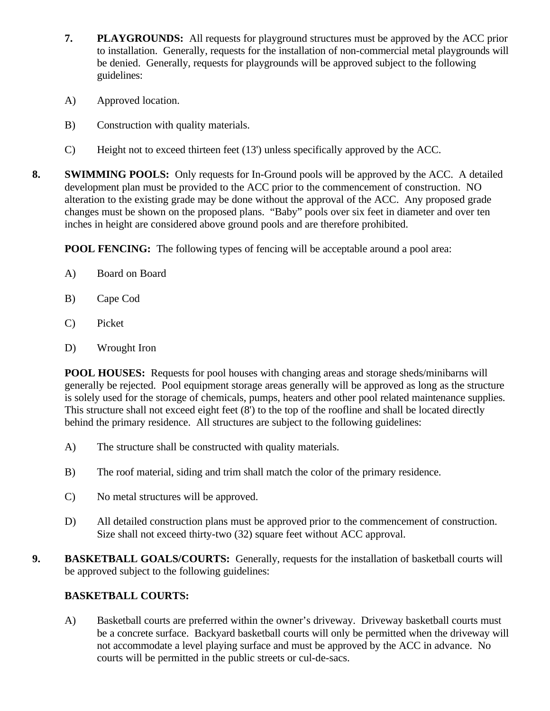- **7. PLAYGROUNDS:** All requests for playground structures must be approved by the ACC prior to installation. Generally, requests for the installation of non-commercial metal playgrounds will be denied. Generally, requests for playgrounds will be approved subject to the following guidelines:
- A) Approved location.
- B) Construction with quality materials.
- C) Height not to exceed thirteen feet (13') unless specifically approved by the ACC.
- **8. SWIMMING POOLS:** Only requests for In-Ground pools will be approved by the ACC. A detailed development plan must be provided to the ACC prior to the commencement of construction. NO alteration to the existing grade may be done without the approval of the ACC. Any proposed grade changes must be shown on the proposed plans. "Baby" pools over six feet in diameter and over ten inches in height are considered above ground pools and are therefore prohibited.

**POOL FENCING:** The following types of fencing will be acceptable around a pool area:

- A) Board on Board
- B) Cape Cod
- C) Picket
- D) Wrought Iron

**POOL HOUSES:** Requests for pool houses with changing areas and storage sheds/minibarns will generally be rejected. Pool equipment storage areas generally will be approved as long as the structure is solely used for the storage of chemicals, pumps, heaters and other pool related maintenance supplies. This structure shall not exceed eight feet (8') to the top of the roofline and shall be located directly behind the primary residence. All structures are subject to the following guidelines:

- A) The structure shall be constructed with quality materials.
- B) The roof material, siding and trim shall match the color of the primary residence.
- C) No metal structures will be approved.
- D) All detailed construction plans must be approved prior to the commencement of construction. Size shall not exceed thirty-two (32) square feet without ACC approval.
- **9. BASKETBALL GOALS/COURTS:** Generally, requests for the installation of basketball courts will be approved subject to the following guidelines:

## **BASKETBALL COURTS:**

A) Basketball courts are preferred within the owner's driveway. Driveway basketball courts must be a concrete surface. Backyard basketball courts will only be permitted when the driveway will not accommodate a level playing surface and must be approved by the ACC in advance. No courts will be permitted in the public streets or cul-de-sacs.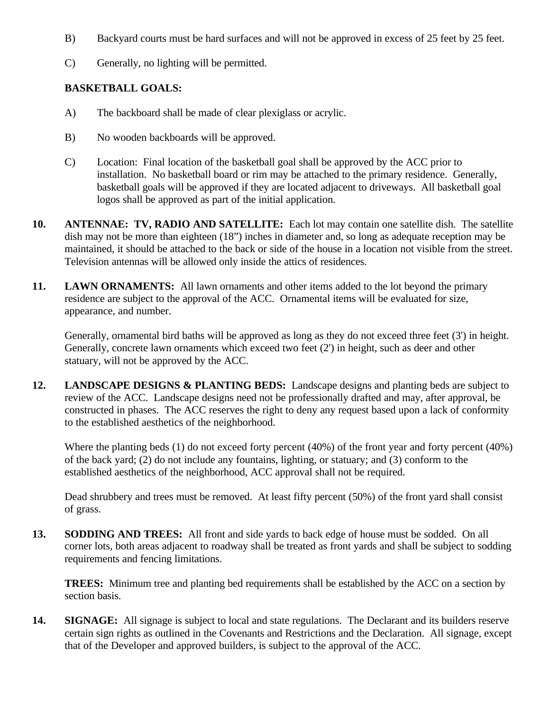- B) Backyard courts must be hard surfaces and will not be approved in excess of 25 feet by 25 feet.
- C) Generally, no lighting will be permitted.

#### **BASKETBALL GOALS:**

- A) The backboard shall be made of clear plexiglass or acrylic.
- B) No wooden backboards will be approved.
- C) Location: Final location of the basketball goal shall be approved by the ACC prior to installation. No basketball board or rim may be attached to the primary residence. Generally, basketball goals will be approved if they are located adjacent to driveways. All basketball goal logos shall be approved as part of the initial application.
- **10. ANTENNAE: TV, RADIO AND SATELLITE:** Each lot may contain one satellite dish. The satellite dish may not be more than eighteen (18") inches in diameter and, so long as adequate reception may be maintained, it should be attached to the back or side of the house in a location not visible from the street. Television antennas will be allowed only inside the attics of residences.
- **11. LAWN ORNAMENTS:** All lawn ornaments and other items added to the lot beyond the primary residence are subject to the approval of the ACC. Ornamental items will be evaluated for size, appearance, and number.

Generally, ornamental bird baths will be approved as long as they do not exceed three feet (3') in height. Generally, concrete lawn ornaments which exceed two feet (2') in height, such as deer and other statuary, will not be approved by the ACC.

**12. LANDSCAPE DESIGNS & PLANTING BEDS:** Landscape designs and planting beds are subject to review of the ACC. Landscape designs need not be professionally drafted and may, after approval, be constructed in phases. The ACC reserves the right to deny any request based upon a lack of conformity to the established aesthetics of the neighborhood.

Where the planting beds (1) do not exceed forty percent (40%) of the front year and forty percent (40%) of the back yard; (2) do not include any fountains, lighting, or statuary; and (3) conform to the established aesthetics of the neighborhood, ACC approval shall not be required.

Dead shrubbery and trees must be removed. At least fifty percent (50%) of the front yard shall consist of grass.

**13. SODDING AND TREES:** All front and side yards to back edge of house must be sodded. On all corner lots, both areas adjacent to roadway shall be treated as front yards and shall be subject to sodding requirements and fencing limitations.

**TREES:** Minimum tree and planting bed requirements shall be established by the ACC on a section by section basis.

**14. SIGNAGE:** All signage is subject to local and state regulations. The Declarant and its builders reserve certain sign rights as outlined in the Covenants and Restrictions and the Declaration. All signage, except that of the Developer and approved builders, is subject to the approval of the ACC.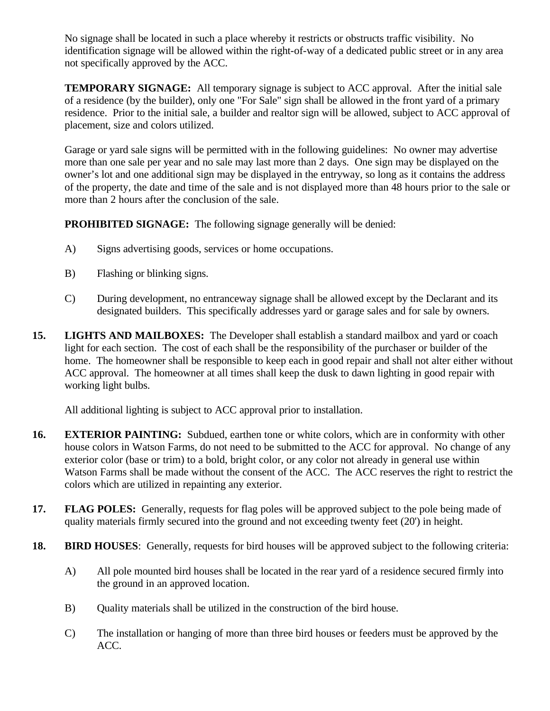No signage shall be located in such a place whereby it restricts or obstructs traffic visibility. No identification signage will be allowed within the right-of-way of a dedicated public street or in any area not specifically approved by the ACC.

**TEMPORARY SIGNAGE:** All temporary signage is subject to ACC approval. After the initial sale of a residence (by the builder), only one "For Sale" sign shall be allowed in the front yard of a primary residence. Prior to the initial sale, a builder and realtor sign will be allowed, subject to ACC approval of placement, size and colors utilized.

Garage or yard sale signs will be permitted with in the following guidelines: No owner may advertise more than one sale per year and no sale may last more than 2 days. One sign may be displayed on the owner's lot and one additional sign may be displayed in the entryway, so long as it contains the address of the property, the date and time of the sale and is not displayed more than 48 hours prior to the sale or more than 2 hours after the conclusion of the sale.

**PROHIBITED SIGNAGE:** The following signage generally will be denied:

- A) Signs advertising goods, services or home occupations.
- B) Flashing or blinking signs.
- C) During development, no entranceway signage shall be allowed except by the Declarant and its designated builders. This specifically addresses yard or garage sales and for sale by owners.
- **15. LIGHTS AND MAILBOXES:** The Developer shall establish a standard mailbox and yard or coach light for each section. The cost of each shall be the responsibility of the purchaser or builder of the home. The homeowner shall be responsible to keep each in good repair and shall not alter either without ACC approval. The homeowner at all times shall keep the dusk to dawn lighting in good repair with working light bulbs.

All additional lighting is subject to ACC approval prior to installation.

- **16. EXTERIOR PAINTING:** Subdued, earthen tone or white colors, which are in conformity with other house colors in Watson Farms, do not need to be submitted to the ACC for approval. No change of any exterior color (base or trim) to a bold, bright color, or any color not already in general use within Watson Farms shall be made without the consent of the ACC. The ACC reserves the right to restrict the colors which are utilized in repainting any exterior.
- **17. FLAG POLES:** Generally, requests for flag poles will be approved subject to the pole being made of quality materials firmly secured into the ground and not exceeding twenty feet (20') in height.
- **18. BIRD HOUSES**: Generally, requests for bird houses will be approved subject to the following criteria:
	- A) All pole mounted bird houses shall be located in the rear yard of a residence secured firmly into the ground in an approved location.
	- B) Quality materials shall be utilized in the construction of the bird house.
	- C) The installation or hanging of more than three bird houses or feeders must be approved by the ACC.